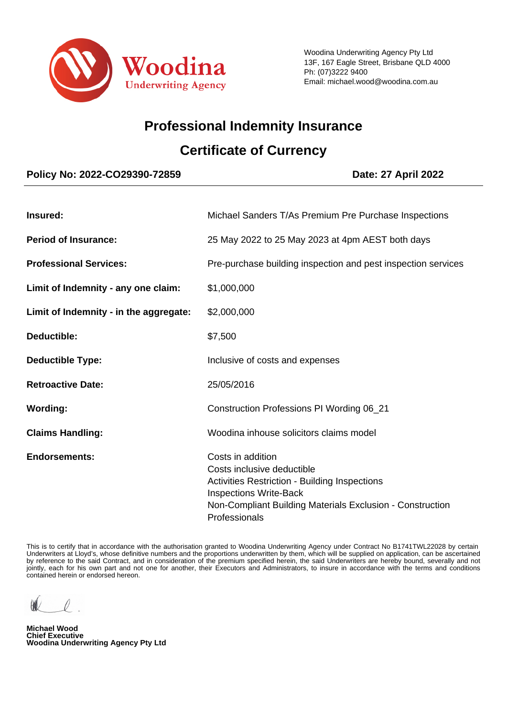

# **Professional Indemnity Insurance**

# **Certificate of Currency**

# **Policy No: 2022-CO29390-72859 Date: 27 April 2022**

| Insured:                               | Michael Sanders T/As Premium Pre Purchase Inspections                                                                                                                                                                  |
|----------------------------------------|------------------------------------------------------------------------------------------------------------------------------------------------------------------------------------------------------------------------|
| <b>Period of Insurance:</b>            | 25 May 2022 to 25 May 2023 at 4pm AEST both days                                                                                                                                                                       |
| <b>Professional Services:</b>          | Pre-purchase building inspection and pest inspection services                                                                                                                                                          |
| Limit of Indemnity - any one claim:    | \$1,000,000                                                                                                                                                                                                            |
| Limit of Indemnity - in the aggregate: | \$2,000,000                                                                                                                                                                                                            |
| Deductible:                            | \$7,500                                                                                                                                                                                                                |
| <b>Deductible Type:</b>                | Inclusive of costs and expenses                                                                                                                                                                                        |
| <b>Retroactive Date:</b>               | 25/05/2016                                                                                                                                                                                                             |
| <b>Wording:</b>                        | Construction Professions PI Wording 06_21                                                                                                                                                                              |
| <b>Claims Handling:</b>                | Woodina inhouse solicitors claims model                                                                                                                                                                                |
| <b>Endorsements:</b>                   | Costs in addition<br>Costs inclusive deductible<br><b>Activities Restriction - Building Inspections</b><br><b>Inspections Write-Back</b><br>Non-Compliant Building Materials Exclusion - Construction<br>Professionals |

 This is to certify that in accordance with the authorisation granted to Woodina Underwriting Agency under Contract No B1741TWL22028 by certain Underwriters at Lloyd's, whose definitive numbers and the proportions underwritten by them, which will be supplied on application, can be ascertained by reference to the said Contract, and in consideration of the premium specified herein, the said Underwriters are hereby bound, severally and not jointly, each for his own part and not one for another, their Executors and Administrators, to insure in accordance with the terms and conditions contained herein or endorsed hereon.

**Michael Wood Chief Executive Woodina Underwriting Agency Pty Ltd**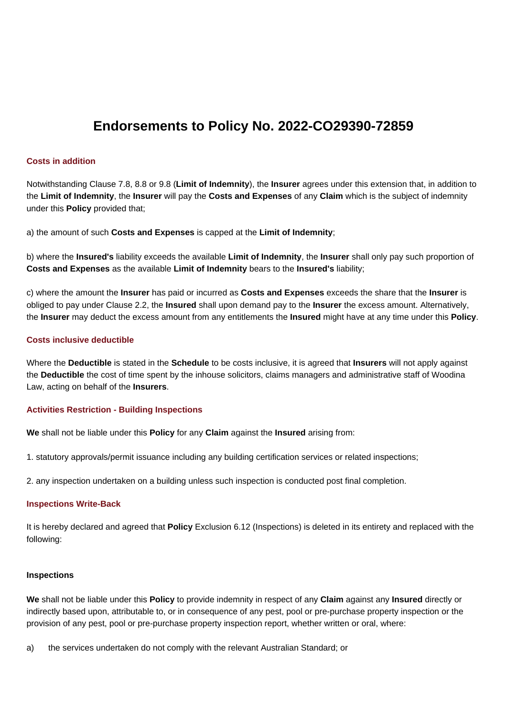# **Endorsements to Policy No. 2022-CO29390-72859**

#### **Costs in addition**

Notwithstanding Clause 7.8, 8.8 or 9.8 (**Limit of Indemnity**), the **Insurer** agrees under this extension that, in addition to the **Limit of Indemnity**, the **Insurer** will pay the **Costs and Expenses** of any **Claim** which is the subject of indemnity under this **Policy** provided that;

a) the amount of such **Costs and Expenses** is capped at the **Limit of Indemnity**;

b) where the **Insured's** liability exceeds the available **Limit of Indemnity**, the **Insurer** shall only pay such proportion of **Costs and Expenses** as the available **Limit of Indemnity** bears to the **Insured's** liability;

c) where the amount the **Insurer** has paid or incurred as **Costs and Expenses** exceeds the share that the **Insurer** is obliged to pay under Clause 2.2, the **Insured** shall upon demand pay to the **Insurer** the excess amount. Alternatively, the **Insurer** may deduct the excess amount from any entitlements the **Insured** might have at any time under this **Policy**.

### **Costs inclusive deductible**

Where the **Deductible** is stated in the **Schedule** to be costs inclusive, it is agreed that **Insurers** will not apply against the **Deductible** the cost of time spent by the inhouse solicitors, claims managers and administrative staff of Woodina Law, acting on behalf of the **Insurers**.

## **Activities Restriction - Building Inspections**

**We** shall not be liable under this **Policy** for any **Claim** against the **Insured** arising from:

1. statutory approvals/permit issuance including any building certification services or related inspections;

2. any inspection undertaken on a building unless such inspection is conducted post final completion.

#### **Inspections Write-Back**

It is hereby declared and agreed that **Policy** Exclusion 6.12 (Inspections) is deleted in its entirety and replaced with the following:

#### **Inspections**

**We** shall not be liable under this **Policy** to provide indemnity in respect of any **Claim** against any **Insured** directly or indirectly based upon, attributable to, or in consequence of any pest, pool or pre-purchase property inspection or the provision of any pest, pool or pre-purchase property inspection report, whether written or oral, where:

a) the services undertaken do not comply with the relevant Australian Standard; or